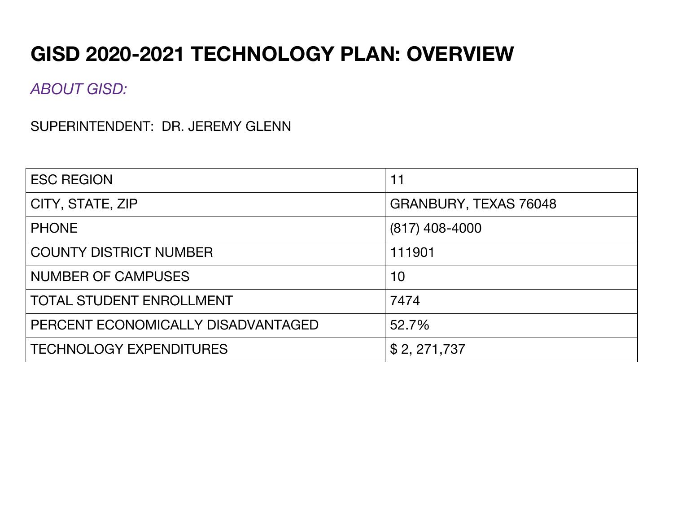# **GISD 2020-2021 TECHNOLOGY PLAN: OVERVIEW**

*ABOUT GISD:*

SUPERINTENDENT: DR. JEREMY GLENN

| <b>ESC REGION</b>                  | 11                    |
|------------------------------------|-----------------------|
| CITY, STATE, ZIP                   | GRANBURY, TEXAS 76048 |
| <b>PHONE</b>                       | $(817)$ 408-4000      |
| <b>COUNTY DISTRICT NUMBER</b>      | 111901                |
| <b>NUMBER OF CAMPUSES</b>          | 10                    |
| <b>TOTAL STUDENT ENROLLMENT</b>    | 7474                  |
| PERCENT ECONOMICALLY DISADVANTAGED | 52.7%                 |
| <b>TECHNOLOGY EXPENDITURES</b>     | \$2, 271, 737         |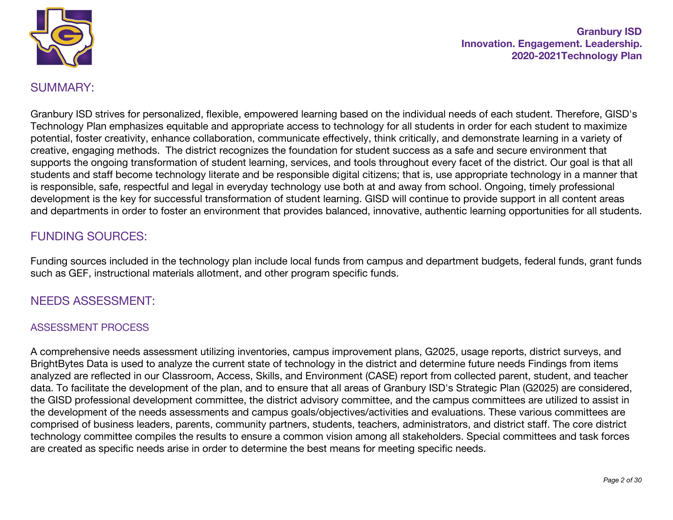

## SUMMARY:

Granbury ISD strives for personalized, flexible, empowered learning based on the individual needs of each student. Therefore, GISD's Technology Plan emphasizes equitable and appropriate access to technology for all students in order for each student to maximize potential, foster creativity, enhance collaboration, communicate effectively, think critically, and demonstrate learning in a variety of creative, engaging methods. The district recognizes the foundation for student success as a safe and secure environment that supports the ongoing transformation of student learning, services, and tools throughout every facet of the district. Our goal is that all students and staff become technology literate and be responsible digital citizens; that is, use appropriate technology in a manner that is responsible, safe, respectful and legal in everyday technology use both at and away from school. Ongoing, timely professional development is the key for successful transformation of student learning. GISD will continue to provide support in all content areas and departments in order to foster an environment that provides balanced, innovative, authentic learning opportunities for all students.

# FUNDING SOURCES:

Funding sources included in the technology plan include local funds from campus and department budgets, federal funds, grant funds such as GEF, instructional materials allotment, and other program specific funds.

## NEEDS ASSESSMENT:

#### ASSESSMENT PROCESS

A comprehensive needs assessment utilizing inventories, campus improvement plans, G2025, usage reports, district surveys, and BrightBytes Data is used to analyze the current state of technology in the district and determine future needs Findings from items analyzed are reflected in our Classroom, Access, Skills, and Environment (CASE) report from collected parent, student, and teacher data. To facilitate the development of the plan, and to ensure that all areas of Granbury ISD's Strategic Plan (G2025) are considered, the GISD professional development committee, the district advisory committee, and the campus committees are utilized to assist in the development of the needs assessments and campus goals/objectives/activities and evaluations. These various committees are comprised of business leaders, parents, community partners, students, teachers, administrators, and district staff. The core district technology committee compiles the results to ensure a common vision among all stakeholders. Special committees and task forces are created as specific needs arise in order to determine the best means for meeting specific needs.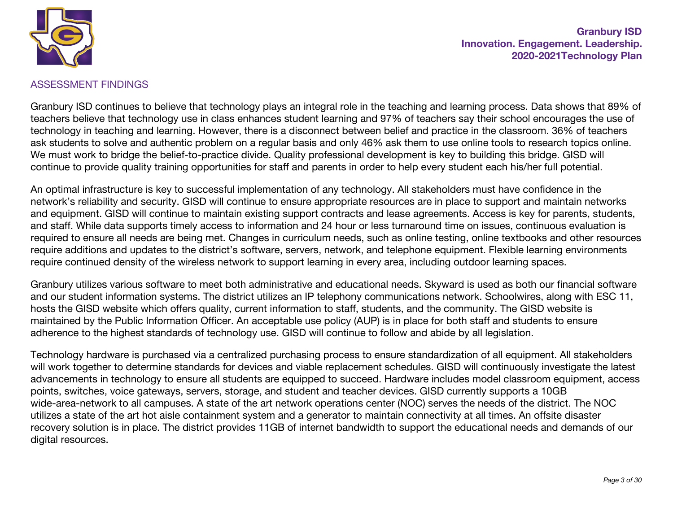

#### ASSESSMENT FINDINGS

Granbury ISD continues to believe that technology plays an integral role in the teaching and learning process. Data shows that 89% of teachers believe that technology use in class enhances student learning and 97% of teachers say their school encourages the use of technology in teaching and learning. However, there is a disconnect between belief and practice in the classroom. 36% of teachers ask students to solve and authentic problem on a regular basis and only 46% ask them to use online tools to research topics online. We must work to bridge the belief-to-practice divide. Quality professional development is key to building this bridge. GISD will continue to provide quality training opportunities for staff and parents in order to help every student each his/her full potential.

An optimal infrastructure is key to successful implementation of any technology. All stakeholders must have confidence in the network's reliability and security. GISD will continue to ensure appropriate resources are in place to support and maintain networks and equipment. GISD will continue to maintain existing support contracts and lease agreements. Access is key for parents, students, and staff. While data supports timely access to information and 24 hour or less turnaround time on issues, continuous evaluation is required to ensure all needs are being met. Changes in curriculum needs, such as online testing, online textbooks and other resources require additions and updates to the district's software, servers, network, and telephone equipment. Flexible learning environments require continued density of the wireless network to support learning in every area, including outdoor learning spaces.

Granbury utilizes various software to meet both administrative and educational needs. Skyward is used as both our financial software and our student information systems. The district utilizes an IP telephony communications network. Schoolwires, along with ESC 11, hosts the GISD website which offers quality, current information to staff, students, and the community. The GISD website is maintained by the Public Information Officer. An acceptable use policy (AUP) is in place for both staff and students to ensure adherence to the highest standards of technology use. GISD will continue to follow and abide by all legislation.

Technology hardware is purchased via a centralized purchasing process to ensure standardization of all equipment. All stakeholders will work together to determine standards for devices and viable replacement schedules. GISD will continuously investigate the latest advancements in technology to ensure all students are equipped to succeed. Hardware includes model classroom equipment, access points, switches, voice gateways, servers, storage, and student and teacher devices. GISD currently supports a 10GB wide-area-network to all campuses. A state of the art network operations center (NOC) serves the needs of the district. The NOC utilizes a state of the art hot aisle containment system and a generator to maintain connectivity at all times. An offsite disaster recovery solution is in place. The district provides 11GB of internet bandwidth to support the educational needs and demands of our digital resources.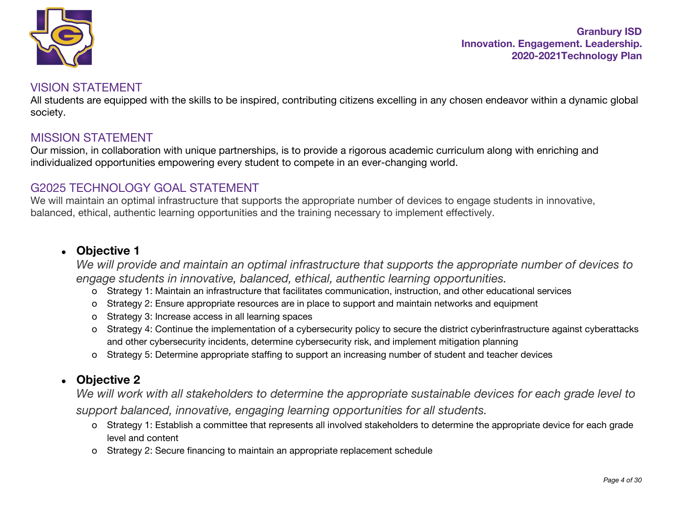

#### VISION STATEMENT

All students are equipped with the skills to be inspired, contributing citizens excelling in any chosen endeavor within a dynamic global society.

## MISSION STATEMENT

Our mission, in collaboration with unique partnerships, is to provide a rigorous academic curriculum along with enriching and individualized opportunities empowering every student to compete in an ever-changing world.

## G2025 TECHNOLOGY GOAL STATEMENT

We will maintain an optimal infrastructure that supports the appropriate number of devices to engage students in innovative, balanced, ethical, authentic learning opportunities and the training necessary to implement effectively.

## ● **Objective 1**

*We will provide and maintain an optimal infrastructure that supports the appropriate number of devices to engage students in innovative, balanced, ethical, authentic learning opportunities.*

- o Strategy 1: Maintain an infrastructure that facilitates communication, instruction, and other educational services
- o Strategy 2: Ensure appropriate resources are in place to support and maintain networks and equipment
- o Strategy 3: Increase access in all learning spaces
- o Strategy 4: Continue the implementation of a cybersecurity policy to secure the district cyberinfrastructure against cyberattacks and other cybersecurity incidents, determine cybersecurity risk, and implement mitigation planning
- o Strategy 5: Determine appropriate staffing to support an increasing number of student and teacher devices

# ● **Objective 2**

We will work with all stakeholders to determine the appropriate sustainable devices for each grade level to *support balanced, innovative, engaging learning opportunities for all students.*

- o Strategy 1: Establish a committee that represents all involved stakeholders to determine the appropriate device for each grade level and content
- o Strategy 2: Secure financing to maintain an appropriate replacement schedule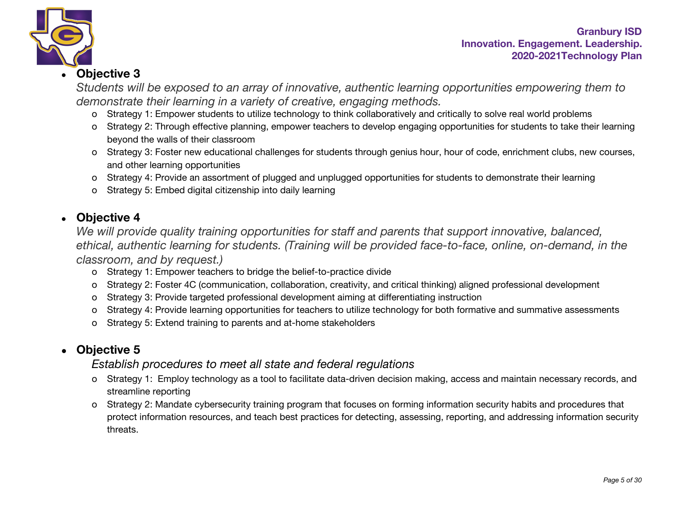

# ● **Objective 3**

*Students will be exposed to an array of innovative, authentic learning opportunities empowering them to demonstrate their learning in a variety of creative, engaging methods.*

- o Strategy 1: Empower students to utilize technology to think collaboratively and critically to solve real world problems
- o Strategy 2: Through effective planning, empower teachers to develop engaging opportunities for students to take their learning beyond the walls of their classroom
- o Strategy 3: Foster new educational challenges for students through genius hour, hour of code, enrichment clubs, new courses, and other learning opportunities
- o Strategy 4: Provide an assortment of plugged and unplugged opportunities for students to demonstrate their learning
- o Strategy 5: Embed digital citizenship into daily learning

# ● **Objective 4**

*We will provide quality training opportunities for staff and parents that support innovative, balanced, ethical, authentic learning for students. (Training will be provided face-to-face, online, on-demand, in the classroom, and by request.)*

- o Strategy 1: Empower teachers to bridge the belief-to-practice divide
- o Strategy 2: Foster 4C (communication, collaboration, creativity, and critical thinking) aligned professional development
- o Strategy 3: Provide targeted professional development aiming at differentiating instruction
- o Strategy 4: Provide learning opportunities for teachers to utilize technology for both formative and summative assessments
- o Strategy 5: Extend training to parents and at-home stakeholders

# ● **Objective 5**

# *Establish procedures to meet all state and federal regulations*

- o Strategy 1: Employ technology as a tool to facilitate data-driven decision making, access and maintain necessary records, and streamline reporting
- o Strategy 2: Mandate cybersecurity training program that focuses on forming information security habits and procedures that protect information resources, and teach best practices for detecting, assessing, reporting, and addressing information security threats.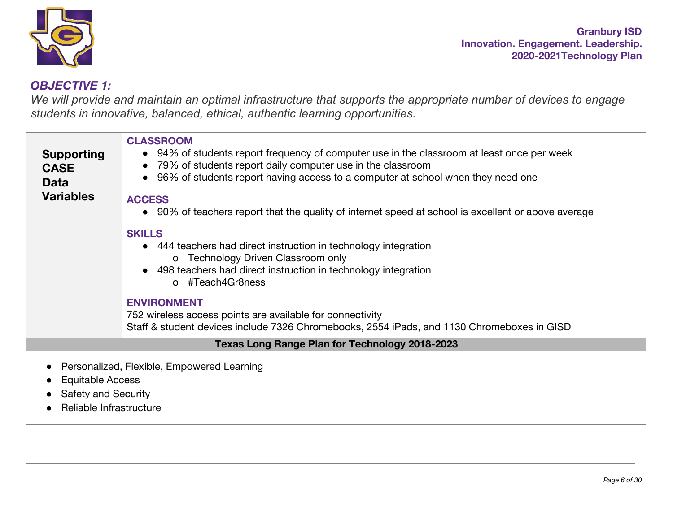

# *OBJECTIVE 1:*

We will provide and maintain an optimal infrastructure that supports the appropriate number of devices to engage *students in innovative, balanced, ethical, authentic learning opportunities.*

| <b>Supporting</b><br><b>CASE</b><br><b>Data</b> | <b>CLASSROOM</b><br>• 94% of students report frequency of computer use in the classroom at least once per week<br>79% of students report daily computer use in the classroom<br>96% of students report having access to a computer at school when they need one |
|-------------------------------------------------|-----------------------------------------------------------------------------------------------------------------------------------------------------------------------------------------------------------------------------------------------------------------|
| <b>Variables</b>                                | <b>ACCESS</b><br>• 90% of teachers report that the quality of internet speed at school is excellent or above average                                                                                                                                            |
|                                                 | <b>SKILLS</b><br>• 444 teachers had direct instruction in technology integration<br>o Technology Driven Classroom only<br>• 498 teachers had direct instruction in technology integration<br>o #Teach4Gr8ness                                                   |
|                                                 | <b>ENVIRONMENT</b><br>752 wireless access points are available for connectivity<br>Staff & student devices include 7326 Chromebooks, 2554 iPads, and 1130 Chromeboxes in GISD                                                                                   |
|                                                 | <b>Texas Long Range Plan for Technology 2018-2023</b>                                                                                                                                                                                                           |
| <b>Equitable Access</b>                         | Personalized, Flexible, Empowered Learning                                                                                                                                                                                                                      |

- Safety and Security
- Reliable Infrastructure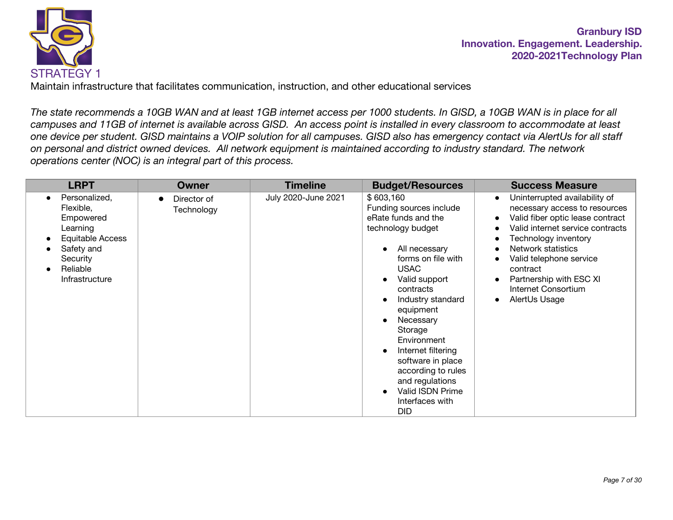

Maintain infrastructure that facilitates communication, instruction, and other educational services

*The state recommends a 10GB WAN and at least 1GB internet access per 1000 students. In GISD, a 10GB WAN is in place for all campuses and 11GB of internet is available across GISD. An access point is installed in every classroom to accommodate at least one device per student. GISD maintains a VOIP solution for all campuses. GISD also has emergency contact via AlertUs for all staff on personal and district owned devices. All network equipment is maintained according to industry standard. The network operations center (NOC) is an integral part of this process.*

| <b>LRPT</b>                                                                                                                                               | <b>Owner</b>              | <b>Timeline</b>     | <b>Budget/Resources</b>                                                                                                                                                                                                                                                                                                                                                                | <b>Success Measure</b>                                                                                                                                                                                                                                                                                                                                          |
|-----------------------------------------------------------------------------------------------------------------------------------------------------------|---------------------------|---------------------|----------------------------------------------------------------------------------------------------------------------------------------------------------------------------------------------------------------------------------------------------------------------------------------------------------------------------------------------------------------------------------------|-----------------------------------------------------------------------------------------------------------------------------------------------------------------------------------------------------------------------------------------------------------------------------------------------------------------------------------------------------------------|
| Personalized,<br>$\bullet$<br>Flexible,<br>Empowered<br>Learning<br>Equitable Access<br>Safety and<br>Security<br>Reliable<br>$\bullet$<br>Infrastructure | Director of<br>Technology | July 2020-June 2021 | \$603,160<br>Funding sources include<br>eRate funds and the<br>technology budget<br>All necessary<br>forms on file with<br><b>USAC</b><br>Valid support<br>contracts<br>Industry standard<br>equipment<br>Necessary<br>Storage<br>Environment<br>Internet filtering<br>software in place<br>according to rules<br>and regulations<br>Valid ISDN Prime<br>Interfaces with<br><b>DID</b> | Uninterrupted availability of<br>$\bullet$<br>necessary access to resources<br>Valid fiber optic lease contract<br>$\bullet$<br>Valid internet service contracts<br>Technology inventory<br>$\bullet$<br>Network statistics<br>Valid telephone service<br>contract<br>Partnership with ESC XI<br>$\bullet$<br>Internet Consortium<br>AlertUs Usage<br>$\bullet$ |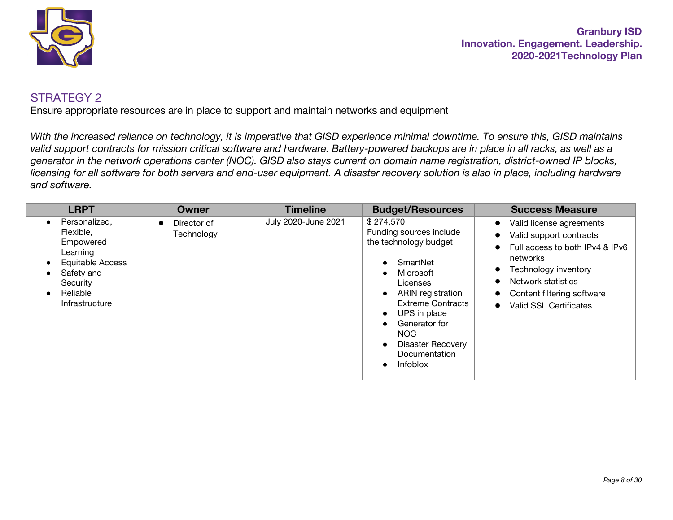

Ensure appropriate resources are in place to support and maintain networks and equipment

*With the increased reliance on technology, it is imperative that GISD experience minimal downtime. To ensure this, GISD maintains valid support contracts for mission critical software and hardware. Battery-powered backups are in place in all racks, as well as a generator in the network operations center (NOC). GISD also stays current on domain name registration, district-owned IP blocks, licensing for all software for both servers and end-user equipment. A disaster recovery solution is also in place, including hardware and software.*

| <b>LRPT</b>                                                                                                                                                            | Owner                     | <b>Timeline</b>     | <b>Budget/Resources</b>                                                                                                                                                                                                                                      | <b>Success Measure</b>                                                                                                                                                                                                                                                                              |
|------------------------------------------------------------------------------------------------------------------------------------------------------------------------|---------------------------|---------------------|--------------------------------------------------------------------------------------------------------------------------------------------------------------------------------------------------------------------------------------------------------------|-----------------------------------------------------------------------------------------------------------------------------------------------------------------------------------------------------------------------------------------------------------------------------------------------------|
| Personalized,<br>$\bullet$<br>Flexible,<br>Empowered<br>Learning<br>Equitable Access<br>$\bullet$<br>Safety and<br>Security<br>Reliable<br>$\bullet$<br>Infrastructure | Director of<br>Technology | July 2020-June 2021 | \$274,570<br>Funding sources include<br>the technology budget<br>SmartNet<br>Microsoft<br>Licenses<br>ARIN registration<br><b>Extreme Contracts</b><br>UPS in place<br>Generator for<br>NOC.<br><b>Disaster Recovery</b><br>Documentation<br><b>Infoblox</b> | Valid license agreements<br>$\bullet$<br>Valid support contracts<br>$\bullet$<br>Full access to both IPv4 & IPv6<br>$\bullet$<br>networks<br>Technology inventory<br>$\bullet$<br>Network statistics<br>$\bullet$<br>Content filtering software<br>$\bullet$<br>Valid SSL Certificates<br>$\bullet$ |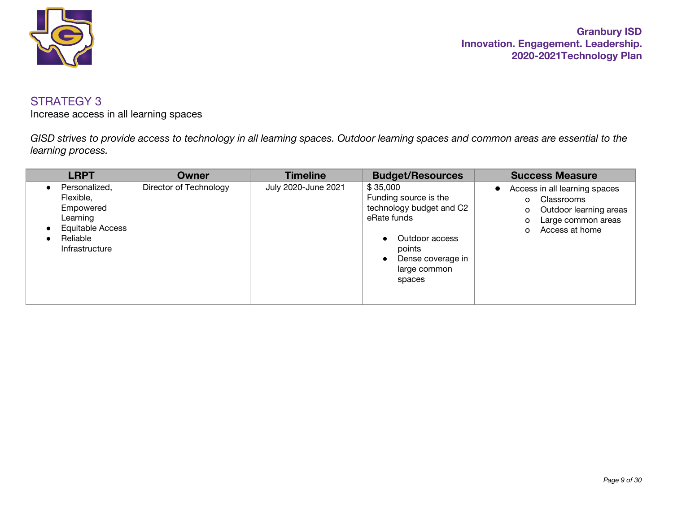

Increase access in all learning spaces

*GISD strives to provide access to technology in all learning spaces. Outdoor learning spaces and common areas are essential to the learning process.*

| <b>LRPT</b>                                                                                                  | Owner                  | <b>Timeline</b>     | <b>Budget/Resources</b>                                                                                                                                 | <b>Success Measure</b>                                                                                                                         |
|--------------------------------------------------------------------------------------------------------------|------------------------|---------------------|---------------------------------------------------------------------------------------------------------------------------------------------------------|------------------------------------------------------------------------------------------------------------------------------------------------|
| Personalized,<br>Flexible,<br>Empowered<br>Learning<br><b>Equitable Access</b><br>Reliable<br>Infrastructure | Director of Technology | July 2020-June 2021 | \$35,000<br>Funding source is the<br>technology budget and C2<br>eRate funds<br>Outdoor access<br>points<br>Dense coverage in<br>large common<br>spaces | Access in all learning spaces<br>$\bullet$<br>Classrooms<br>o<br>Outdoor learning areas<br>o<br>Large common areas<br>o<br>Access at home<br>O |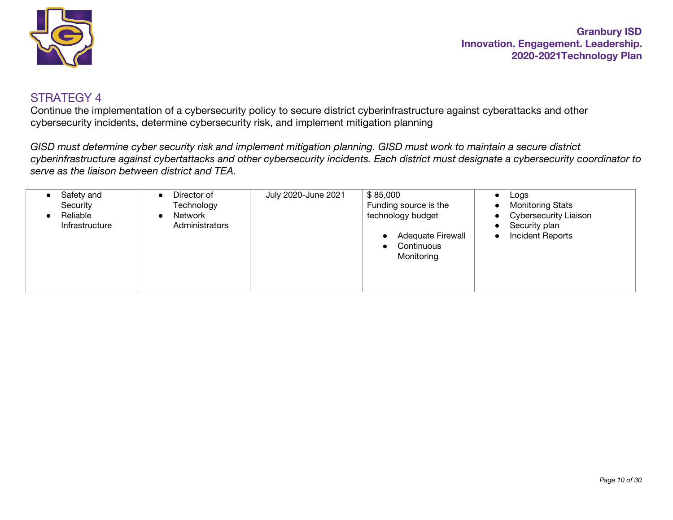

Continue the implementation of a cybersecurity policy to secure district cyberinfrastructure against cyberattacks and other cybersecurity incidents, determine cybersecurity risk, and implement mitigation planning

*GISD must determine cyber security risk and implement mitigation planning. GISD must work to maintain a secure district cyberinfrastructure against cybertattacks and other cybersecurity incidents. Each district must designate a cybersecurity coordinator to serve as the liaison between district and TEA.*

| Safety and<br>Security<br>Reliable<br>Infrastructure | Director of<br>Technology<br>Network<br>Administrators | July 2020-June 2021 | \$85,000<br>Funding source is the<br>technology budget<br><b>Adequate Firewall</b><br>Continuous<br>$\bullet$<br>Monitoring | Logs<br>$\bullet$<br><b>Monitoring Stats</b><br>$\bullet$<br>Cybersecurity Liaison<br>$\bullet$<br>Security plan<br>$\bullet$<br><b>Incident Reports</b><br>$\bullet$ |
|------------------------------------------------------|--------------------------------------------------------|---------------------|-----------------------------------------------------------------------------------------------------------------------------|-----------------------------------------------------------------------------------------------------------------------------------------------------------------------|
|------------------------------------------------------|--------------------------------------------------------|---------------------|-----------------------------------------------------------------------------------------------------------------------------|-----------------------------------------------------------------------------------------------------------------------------------------------------------------------|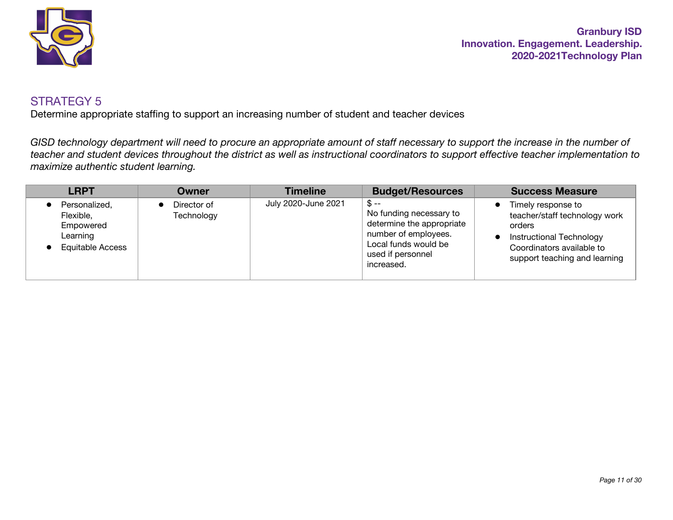

Determine appropriate staffing to support an increasing number of student and teacher devices

*GISD technology department will need to procure an appropriate amount of staff necessary to support the increase in the number of teacher and student devices throughout the district as well as instructional coordinators to support effective teacher implementation to maximize authentic student learning.*

| <b>LRPT</b>                                                                    | Owner                     | <b>Timeline</b>     | <b>Budget/Resources</b>                                                                                                                          | <b>Success Measure</b>                                                                                                                                         |
|--------------------------------------------------------------------------------|---------------------------|---------------------|--------------------------------------------------------------------------------------------------------------------------------------------------|----------------------------------------------------------------------------------------------------------------------------------------------------------------|
| Personalized,<br>Flexible,<br>Empowered<br>Learning<br><b>Equitable Access</b> | Director of<br>Technology | July 2020-June 2021 | _Տ ––<br>No funding necessary to<br>determine the appropriate<br>number of employees.<br>Local funds would be<br>used if personnel<br>increased. | Timely response to<br>teacher/staff technology work<br>orders<br><b>Instructional Technology</b><br>Coordinators available to<br>support teaching and learning |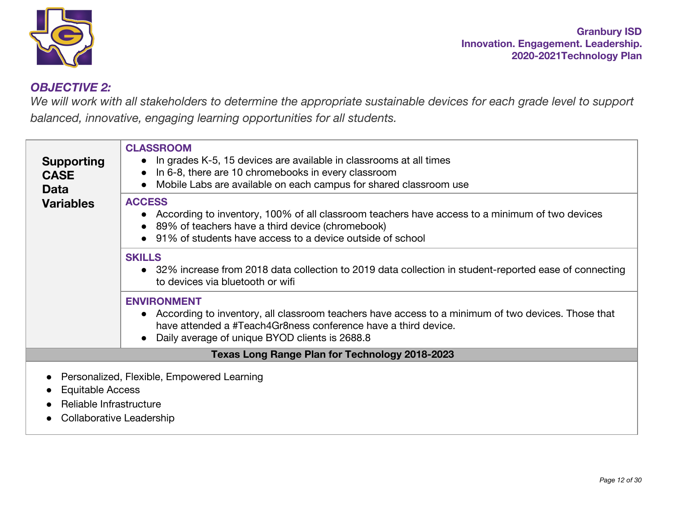

# *OBJECTIVE 2:*

We will work with all stakeholders to determine the appropriate sustainable devices for each grade level to support *balanced, innovative, engaging learning opportunities for all students.*

| <b>Supporting</b><br><b>CASE</b><br><b>Data</b> | <b>CLASSROOM</b><br>In grades K-5, 15 devices are available in classrooms at all times<br>In 6-8, there are 10 chromebooks in every classroom<br>$\bullet$<br>Mobile Labs are available on each campus for shared classroom use<br>$\bullet$                |
|-------------------------------------------------|-------------------------------------------------------------------------------------------------------------------------------------------------------------------------------------------------------------------------------------------------------------|
| <b>Variables</b>                                | <b>ACCESS</b><br>According to inventory, 100% of all classroom teachers have access to a minimum of two devices<br>89% of teachers have a third device (chromebook)<br>91% of students have access to a device outside of school                            |
|                                                 | <b>SKILLS</b><br>• 32% increase from 2018 data collection to 2019 data collection in student-reported ease of connecting<br>to devices via bluetooth or wifi                                                                                                |
|                                                 | <b>ENVIRONMENT</b><br>• According to inventory, all classroom teachers have access to a minimum of two devices. Those that<br>have attended a #Teach4Gr8ness conference have a third device.<br>Daily average of unique BYOD clients is 2688.8<br>$\bullet$ |
|                                                 | <b>Texas Long Range Plan for Technology 2018-2023</b>                                                                                                                                                                                                       |
| Equitable Access<br>Reliable Infrastructure     | Personalized, Flexible, Empowered Learning                                                                                                                                                                                                                  |
| Collaborative Leadership                        |                                                                                                                                                                                                                                                             |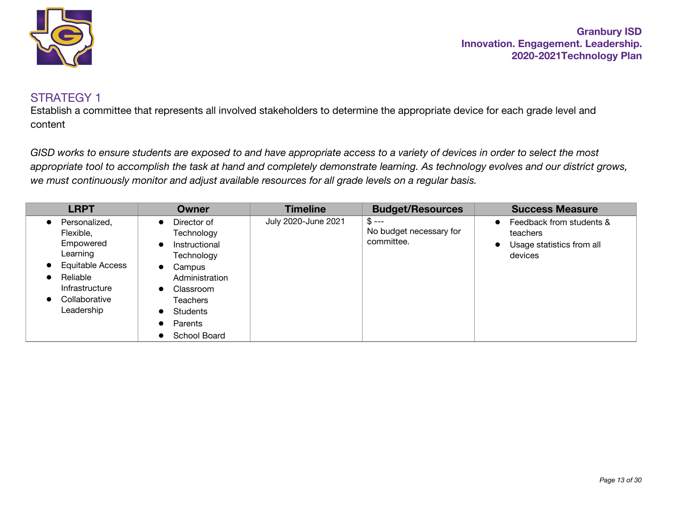

Establish a committee that represents all involved stakeholders to determine the appropriate device for each grade level and content

*GISD works to ensure students are exposed to and have appropriate access to a variety of devices in order to select the most appropriate tool to accomplish the task at hand and completely demonstrate learning. As technology evolves and our district grows, we must continuously monitor and adjust available resources for all grade levels on a regular basis.*

| <b>LRPT</b>                                                                                                                                                    | Owner                                                                                                                                                                           | <b>Timeline</b>     | <b>Budget/Resources</b>                         | <b>Success Measure</b>                                                                                 |
|----------------------------------------------------------------------------------------------------------------------------------------------------------------|---------------------------------------------------------------------------------------------------------------------------------------------------------------------------------|---------------------|-------------------------------------------------|--------------------------------------------------------------------------------------------------------|
| Personalized,<br>Flexible,<br>Empowered<br>Learning<br>Equitable Access<br>$\bullet$<br>Reliable<br>Infrastructure<br>Collaborative<br>$\bullet$<br>Leadership | Director of<br>Technology<br>Instructional<br>Technology<br>Campus<br>$\bullet$<br>Administration<br>Classroom<br><b>Teachers</b><br>Students<br>Parents<br><b>School Board</b> | July 2020-June 2021 | $$ --$<br>No budget necessary for<br>committee. | Feedback from students &<br>$\bullet$<br>teachers<br>Usage statistics from all<br>$\bullet$<br>devices |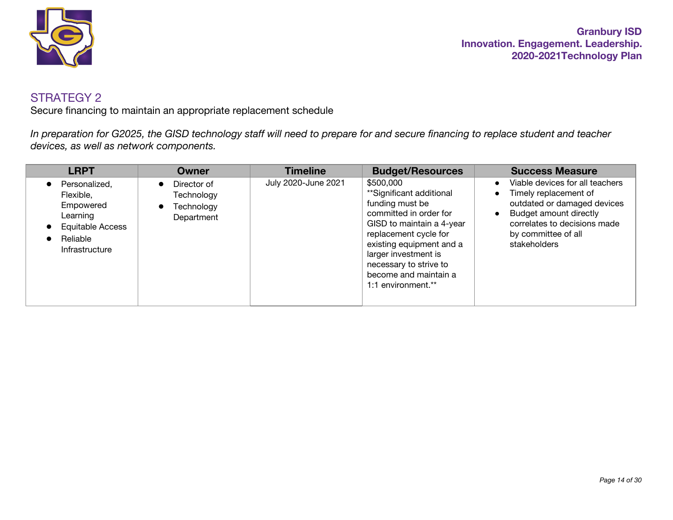

Secure financing to maintain an appropriate replacement schedule

*In preparation for G2025, the GISD technology staff will need to prepare for and secure financing to replace student and teacher devices, as well as network components.*

| <b>LRPT</b>                                                                                           | Owner                                                                           | <b>Timeline</b>     | <b>Budget/Resources</b>                                                                                                                                                                                                                                               | <b>Success Measure</b>                                                                                                                                                                                |
|-------------------------------------------------------------------------------------------------------|---------------------------------------------------------------------------------|---------------------|-----------------------------------------------------------------------------------------------------------------------------------------------------------------------------------------------------------------------------------------------------------------------|-------------------------------------------------------------------------------------------------------------------------------------------------------------------------------------------------------|
| Personalized,<br>Flexible.<br>Empowered<br>Learning<br>Equitable Access<br>Reliable<br>Infrastructure | Director of<br>$\bullet$<br>Technology<br>Technology<br>$\bullet$<br>Department | July 2020-June 2021 | \$500,000<br>**Significant additional<br>funding must be<br>committed in order for<br>GISD to maintain a 4-year<br>replacement cycle for<br>existing equipment and a<br>larger investment is<br>necessary to strive to<br>become and maintain a<br>1:1 environment.** | Viable devices for all teachers<br>Timely replacement of<br>outdated or damaged devices<br>Budget amount directly<br>$\bullet$<br>correlates to decisions made<br>by committee of all<br>stakeholders |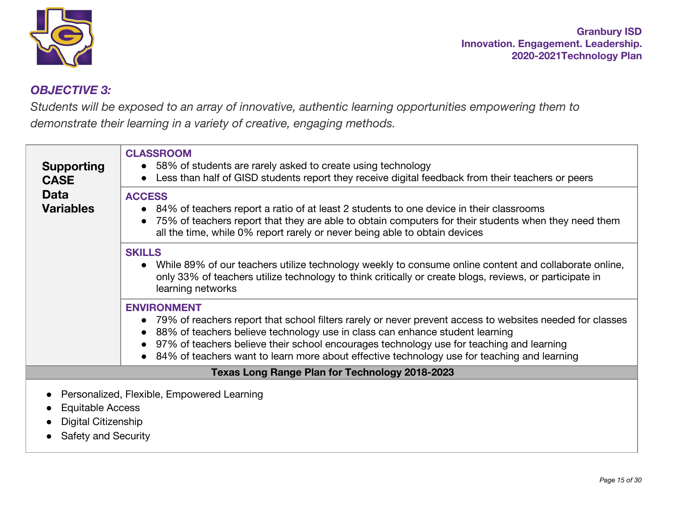

## *OBJECTIVE 3:*

*Students will be exposed to an array of innovative, authentic learning opportunities empowering them to demonstrate their learning in a variety of creative, engaging methods.*

| <b>Supporting</b><br><b>CASE</b>               | <b>CLASSROOM</b><br>• 58% of students are rarely asked to create using technology<br>Less than half of GISD students report they receive digital feedback from their teachers or peers                                                                                                                                                                                                                      |
|------------------------------------------------|-------------------------------------------------------------------------------------------------------------------------------------------------------------------------------------------------------------------------------------------------------------------------------------------------------------------------------------------------------------------------------------------------------------|
| <b>Data</b><br><b>Variables</b>                | <b>ACCESS</b><br>• 84% of teachers report a ratio of at least 2 students to one device in their classrooms<br>75% of teachers report that they are able to obtain computers for their students when they need them<br>all the time, while 0% report rarely or never being able to obtain devices                                                                                                            |
|                                                | <b>SKILLS</b><br>While 89% of our teachers utilize technology weekly to consume online content and collaborate online,<br>only 33% of teachers utilize technology to think critically or create blogs, reviews, or participate in<br>learning networks                                                                                                                                                      |
|                                                | <b>ENVIRONMENT</b><br>• 79% of reachers report that school filters rarely or never prevent access to websites needed for classes<br>88% of teachers believe technology use in class can enhance student learning<br>97% of teachers believe their school encourages technology use for teaching and learning<br>84% of teachers want to learn more about effective technology use for teaching and learning |
|                                                | <b>Texas Long Range Plan for Technology 2018-2023</b>                                                                                                                                                                                                                                                                                                                                                       |
| <b>Equitable Access</b><br>Digital Citizenship | Personalized, Flexible, Empowered Learning                                                                                                                                                                                                                                                                                                                                                                  |

• Safety and Security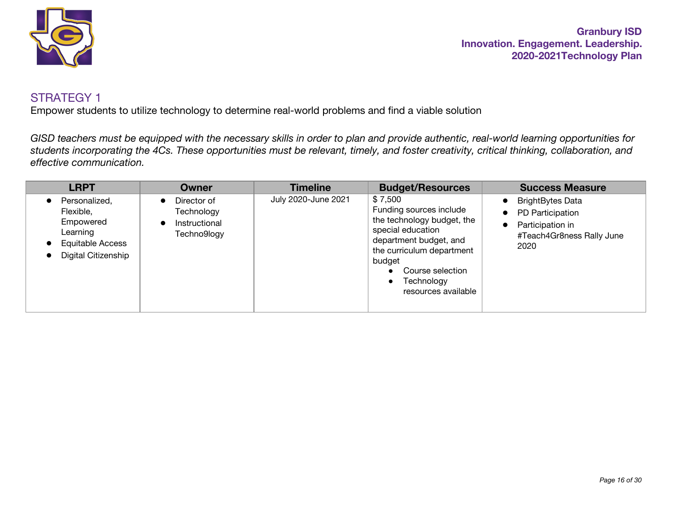

Empower students to utilize technology to determine real-world problems and find a viable solution

*GISD teachers must be equipped with the necessary skills in order to plan and provide authentic, real-world learning opportunities for students incorporating the 4Cs. These opportunities must be relevant, timely, and foster creativity, critical thinking, collaboration, and effective communication.*

| <b>LRPT</b>                                                                                           | <b>Owner</b>                                              | <b>Timeline</b>     | <b>Budget/Resources</b>                                                                                                                                                                                                      | <b>Success Measure</b>                                                                               |
|-------------------------------------------------------------------------------------------------------|-----------------------------------------------------------|---------------------|------------------------------------------------------------------------------------------------------------------------------------------------------------------------------------------------------------------------------|------------------------------------------------------------------------------------------------------|
| Personalized,<br>Flexible,<br>Empowered<br>Learning<br><b>Equitable Access</b><br>Digital Citizenship | Director of<br>Technology<br>Instructional<br>Techno9logy | July 2020-June 2021 | \$7,500<br>Funding sources include<br>the technology budget, the<br>special education<br>department budget, and<br>the curriculum department<br>budget<br>Course selection<br>Technology<br>$\bullet$<br>resources available | <b>BrightBytes Data</b><br>PD Participation<br>Participation in<br>#Teach4Gr8ness Rally June<br>2020 |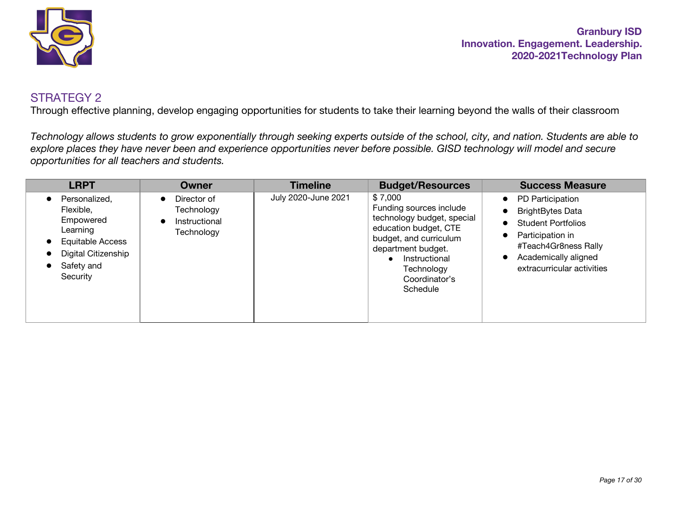

Through effective planning, develop engaging opportunities for students to take their learning beyond the walls of their classroom

*Technology allows students to grow exponentially through seeking experts outside of the school, city, and nation. Students are able to explore places they have never been and experience opportunities never before possible. GISD technology will model and secure opportunities for all teachers and students.*

| <b>LRPT</b>                                                                                                                     | Owner                                                                 | <b>Timeline</b>     | <b>Budget/Resources</b>                                                                                                                                                                               | <b>Success Measure</b>                                                                                                                                                                                                                |
|---------------------------------------------------------------------------------------------------------------------------------|-----------------------------------------------------------------------|---------------------|-------------------------------------------------------------------------------------------------------------------------------------------------------------------------------------------------------|---------------------------------------------------------------------------------------------------------------------------------------------------------------------------------------------------------------------------------------|
| Personalized,<br>Flexible.<br>Empowered<br>Learning<br><b>Equitable Access</b><br>Digital Citizenship<br>Safety and<br>Security | Director of<br>$\bullet$<br>Technology<br>Instructional<br>Technology | July 2020-June 2021 | \$7,000<br>Funding sources include<br>technology budget, special<br>education budget, CTE<br>budget, and curriculum<br>department budget.<br>Instructional<br>Technology<br>Coordinator's<br>Schedule | <b>PD Participation</b><br>$\bullet$<br><b>BrightBytes Data</b><br>$\bullet$<br><b>Student Portfolios</b><br>Participation in<br>$\bullet$<br>#Teach4Gr8ness Rally<br>Academically aligned<br>$\bullet$<br>extracurricular activities |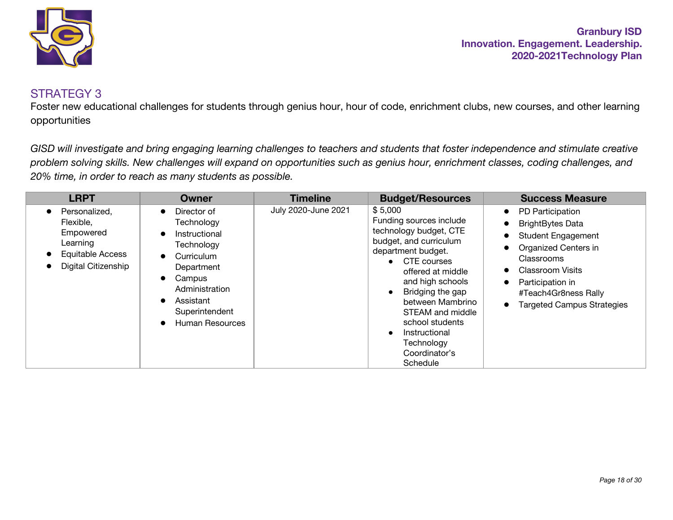

#### STRATEGY 3

Foster new educational challenges for students through genius hour, hour of code, enrichment clubs, new courses, and other learning opportunities

*GISD will investigate and bring engaging learning challenges to teachers and students that foster independence and stimulate creative problem solving skills. New challenges will expand on opportunities such as genius hour, enrichment classes, coding challenges, and 20% time, in order to reach as many students as possible.*

| <b>LRPT</b>                                                                                           | Owner                                                                                                                                                                                                                  | <b>Timeline</b>     | <b>Budget/Resources</b>                                                                                                                                                                                                                                                                                           | <b>Success Measure</b>                                                                                                                                                                                                                               |
|-------------------------------------------------------------------------------------------------------|------------------------------------------------------------------------------------------------------------------------------------------------------------------------------------------------------------------------|---------------------|-------------------------------------------------------------------------------------------------------------------------------------------------------------------------------------------------------------------------------------------------------------------------------------------------------------------|------------------------------------------------------------------------------------------------------------------------------------------------------------------------------------------------------------------------------------------------------|
| Personalized,<br>Flexible,<br>Empowered<br>Learning<br><b>Equitable Access</b><br>Digital Citizenship | Director of<br>$\bullet$<br>Technology<br>Instructional<br>$\bullet$<br>Technology<br>Curriculum<br>$\bullet$<br>Department<br>Campus<br>$\bullet$<br>Administration<br>Assistant<br>Superintendent<br>Human Resources | July 2020-June 2021 | \$5,000<br>Funding sources include<br>technology budget, CTE<br>budget, and curriculum<br>department budget.<br>• CTE courses<br>offered at middle<br>and high schools<br>Bridging the gap<br>between Mambrino<br>STEAM and middle<br>school students<br>Instructional<br>Technology<br>Coordinator's<br>Schedule | PD Participation<br>$\bullet$<br><b>BrightBytes Data</b><br><b>Student Engagement</b><br>Organized Centers in<br>Classrooms<br><b>Classroom Visits</b><br>Participation in<br>$\bullet$<br>#Teach4Gr8ness Rally<br><b>Targeted Campus Strategies</b> |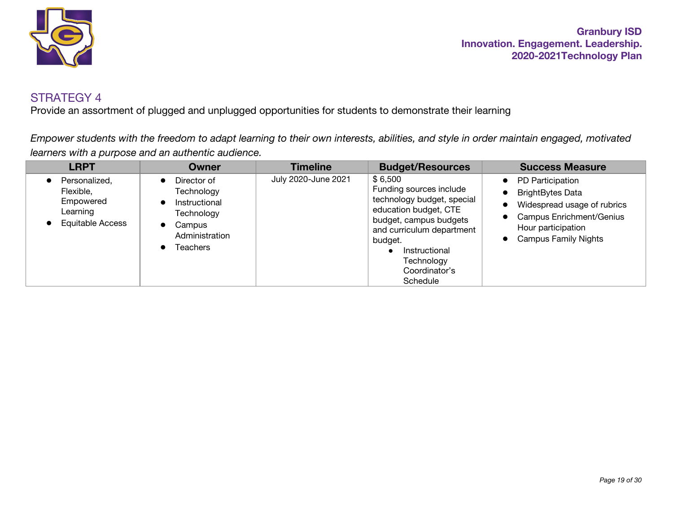

Provide an assortment of plugged and unplugged opportunities for students to demonstrate their learning

*Empower students with the freedom to adapt learning to their own interests, abilities, and style in order maintain engaged, motivated learners with a purpose and an authentic audience.*

| <b>LRPT</b>                                                             | <b>Owner</b>                                                                                                                                                | <b>Timeline</b>     | <b>Budget/Resources</b>                                                                                                                                                                                                 | <b>Success Measure</b>                                                                                                                                                            |
|-------------------------------------------------------------------------|-------------------------------------------------------------------------------------------------------------------------------------------------------------|---------------------|-------------------------------------------------------------------------------------------------------------------------------------------------------------------------------------------------------------------------|-----------------------------------------------------------------------------------------------------------------------------------------------------------------------------------|
| Personalized,<br>Flexible,<br>Empowered<br>Learning<br>Equitable Access | Director of<br>$\bullet$<br>Technology<br>Instructional<br>$\bullet$<br>Technology<br>Campus<br>$\bullet$<br>Administration<br><b>Teachers</b><br>$\bullet$ | July 2020-June 2021 | \$6,500<br>Funding sources include<br>technology budget, special<br>education budget, CTE<br>budget, campus budgets<br>and curriculum department<br>budget.<br>Instructional<br>Technology<br>Coordinator's<br>Schedule | • PD Participation<br><b>BrightBytes Data</b><br>$\bullet$<br>Widespread usage of rubrics<br><b>Campus Enrichment/Genius</b><br>Hour participation<br><b>Campus Family Nights</b> |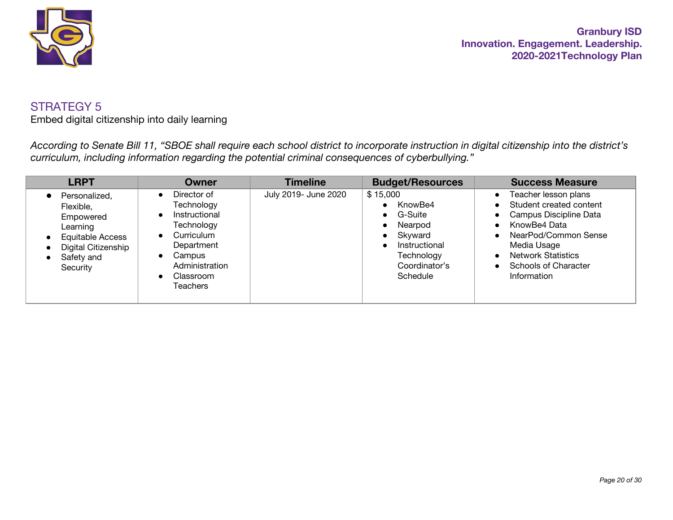

Embed digital citizenship into daily learning

*According to Senate Bill 11, "SBOE shall require each school district to incorporate instruction in digital citizenship into the district's curriculum, including information regarding the potential criminal consequences of cyberbullying."*

| <b>LRPT</b>                                                                                                                     | <b>Owner</b>                                                                                                                                                                                           | <b>Timeline</b>      | <b>Budget/Resources</b>                                                                                            | <b>Success Measure</b>                                                                                                                                                                                                                                                    |
|---------------------------------------------------------------------------------------------------------------------------------|--------------------------------------------------------------------------------------------------------------------------------------------------------------------------------------------------------|----------------------|--------------------------------------------------------------------------------------------------------------------|---------------------------------------------------------------------------------------------------------------------------------------------------------------------------------------------------------------------------------------------------------------------------|
| Personalized,<br>Flexible,<br>Empowered<br>Learning<br><b>Equitable Access</b><br>Digital Citizenship<br>Safety and<br>Security | Director of<br>$\bullet$<br>Technology<br>Instructional<br>$\bullet$<br>Technology<br>• Curriculum<br>Department<br>Campus<br>$\bullet$<br>Administration<br>Classroom<br>$\bullet$<br><b>Teachers</b> | July 2019- June 2020 | \$15,000<br>KnowBe4<br>• G-Suite<br>Nearpod<br>Skyward<br>Instructional<br>Technology<br>Coordinator's<br>Schedule | Teacher lesson plans<br>$\bullet$<br>Student created content<br>$\bullet$<br>• Campus Discipline Data<br>KnowBe4 Data<br>$\bullet$<br>NearPod/Common Sense<br>$\bullet$<br>Media Usage<br><b>Network Statistics</b><br>$\bullet$<br>• Schools of Character<br>Information |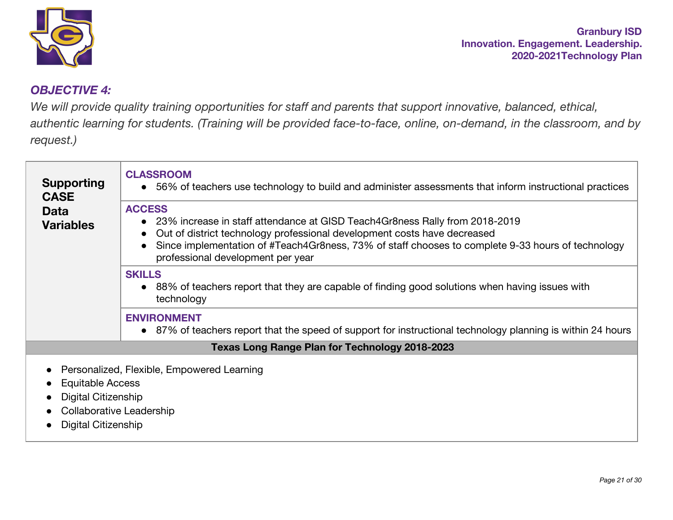

## *OBJECTIVE 4:*

*We will provide quality training opportunities for staff and parents that support innovative, balanced, ethical,* authentic learning for students. (Training will be provided face-to-face, online, on-demand, in the classroom, and by *request.)*

| <b>Supporting</b><br><b>CASE</b><br><b>Data</b><br><b>Variables</b> | <b>CLASSROOM</b><br>• 56% of teachers use technology to build and administer assessments that inform instructional practices                                                                                                                                                                                         |
|---------------------------------------------------------------------|----------------------------------------------------------------------------------------------------------------------------------------------------------------------------------------------------------------------------------------------------------------------------------------------------------------------|
|                                                                     | <b>ACCESS</b><br>• 23% increase in staff attendance at GISD Teach4Gr8ness Rally from 2018-2019<br>Out of district technology professional development costs have decreased<br>Since implementation of #Teach4Gr8ness, 73% of staff chooses to complete 9-33 hours of technology<br>professional development per year |
|                                                                     | <b>SKILLS</b><br>• 88% of teachers report that they are capable of finding good solutions when having issues with<br>technology                                                                                                                                                                                      |
|                                                                     | <b>ENVIRONMENT</b><br>• 87% of teachers report that the speed of support for instructional technology planning is within 24 hours                                                                                                                                                                                    |
|                                                                     | <b>Texas Long Range Plan for Technology 2018-2023</b>                                                                                                                                                                                                                                                                |
|                                                                     | • Personalized, Flexible, Empowered Learning                                                                                                                                                                                                                                                                         |

- Equitable Access
- **Digital Citizenship**
- Collaborative Leadership
- Digital Citizenship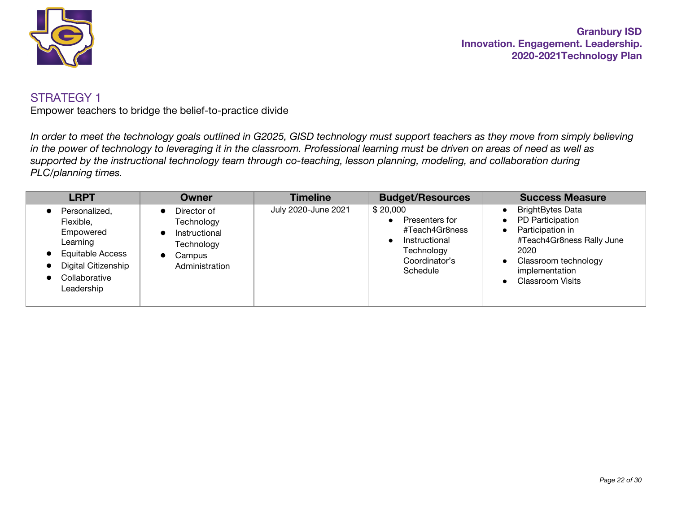

Empower teachers to bridge the belief-to-practice divide

*In order to meet the technology goals outlined in G2025, GISD technology must support teachers as they move from simply believing in the power of technology to leveraging it in the classroom. Professional learning must be driven on areas of need as well as supported by the instructional technology team through co-teaching, lesson planning, modeling, and collaboration during PLC/planning times.*

| <b>LRPT</b>                                                                                                                          | <b>Owner</b>                                                                         | <b>Timeline</b>     | <b>Budget/Resources</b>                                                                                  | <b>Success Measure</b>                                                                                                                                                                                                                     |
|--------------------------------------------------------------------------------------------------------------------------------------|--------------------------------------------------------------------------------------|---------------------|----------------------------------------------------------------------------------------------------------|--------------------------------------------------------------------------------------------------------------------------------------------------------------------------------------------------------------------------------------------|
| Personalized,<br>Flexible,<br>Empowered<br>Learning<br><b>Equitable Access</b><br>Digital Citizenship<br>Collaborative<br>Leadership | Director of<br>Technology<br>Instructional<br>Technology<br>Campus<br>Administration | July 2020-June 2021 | \$20,000<br>Presenters for<br>#Teach4Gr8ness<br>Instructional<br>Technology<br>Coordinator's<br>Schedule | <b>BrightBytes Data</b><br>$\bullet$<br>PD Participation<br>$\bullet$<br>Participation in<br>$\bullet$<br>#Teach4Gr8ness Rally June<br>2020<br>Classroom technology<br>$\bullet$<br>implementation<br><b>Classroom Visits</b><br>$\bullet$ |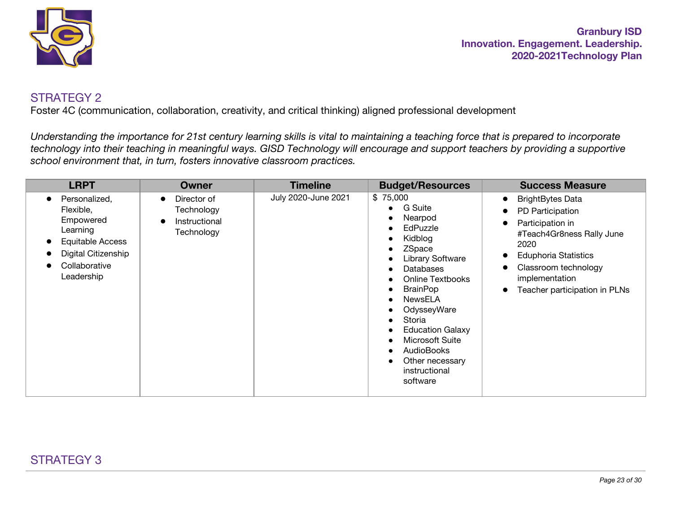

Foster 4C (communication, collaboration, creativity, and critical thinking) aligned professional development

*Understanding the importance for 21st century learning skills is vital to maintaining a teaching force that is prepared to incorporate technology into their teaching in meaningful ways. GISD Technology will encourage and support teachers by providing a supportive school environment that, in turn, fosters innovative classroom practices.*

| <b>LRPT</b>                                                                                                                                | Owner                                                    | <b>Timeline</b>     | <b>Budget/Resources</b>                                                                                                                                                                                                                                                                                             | <b>Success Measure</b>                                                                                                                                                                                                                                                          |
|--------------------------------------------------------------------------------------------------------------------------------------------|----------------------------------------------------------|---------------------|---------------------------------------------------------------------------------------------------------------------------------------------------------------------------------------------------------------------------------------------------------------------------------------------------------------------|---------------------------------------------------------------------------------------------------------------------------------------------------------------------------------------------------------------------------------------------------------------------------------|
| Personalized,<br>$\bullet$<br>Flexible,<br>Empowered<br>Learning<br>Equitable Access<br>Digital Citizenship<br>Collaborative<br>Leadership | Director of<br>Technology<br>Instructional<br>Technology | July 2020-June 2021 | \$75,000<br>G Suite<br>Nearpod<br>EdPuzzle<br>Kidblog<br>ZSpace<br><b>Library Software</b><br><b>Databases</b><br><b>Online Textbooks</b><br><b>BrainPop</b><br>NewsELA<br>OdysseyWare<br>Storia<br><b>Education Galaxy</b><br>Microsoft Suite<br><b>AudioBooks</b><br>Other necessary<br>instructional<br>software | <b>BrightBytes Data</b><br>$\bullet$<br>PD Participation<br>$\bullet$<br>Participation in<br>$\bullet$<br>#Teach4Gr8ness Rally June<br>2020<br><b>Eduphoria Statistics</b><br>$\bullet$<br>Classroom technology<br>implementation<br>Teacher participation in PLNs<br>$\bullet$ |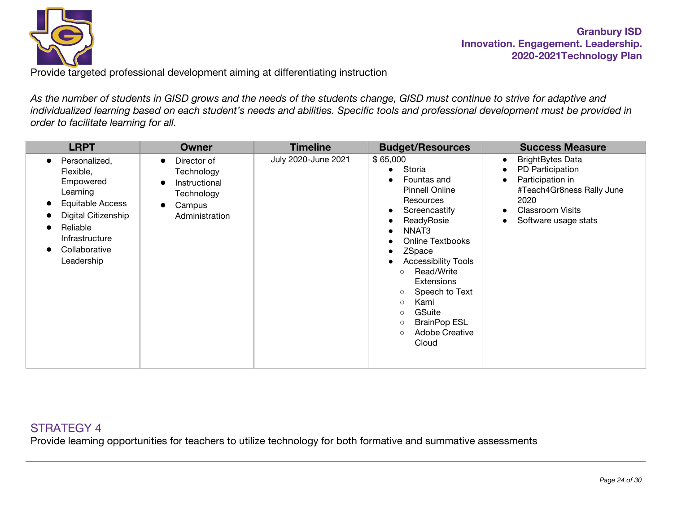

Provide targeted professional development aiming at differentiating instruction

*As the number of students in GISD grows and the needs of the students change, GISD must continue to strive for adaptive and individualized learning based on each student's needs and abilities. Specific tools and professional development must be provided in order to facilitate learning for all.*

| <b>LRPT</b>                                                                                                                                                 | <b>Owner</b>                                                                                                   | <b>Timeline</b>     | <b>Budget/Resources</b>                                                                                                                                                                                                                                                                                                                                                                          | <b>Success Measure</b>                                                                                                                                                                                      |
|-------------------------------------------------------------------------------------------------------------------------------------------------------------|----------------------------------------------------------------------------------------------------------------|---------------------|--------------------------------------------------------------------------------------------------------------------------------------------------------------------------------------------------------------------------------------------------------------------------------------------------------------------------------------------------------------------------------------------------|-------------------------------------------------------------------------------------------------------------------------------------------------------------------------------------------------------------|
| Personalized,<br>Flexible,<br>Empowered<br>Learning<br>Equitable Access<br>Digital Citizenship<br>Reliable<br>Infrastructure<br>Collaborative<br>Leadership | Director of<br>$\bullet$<br>Technology<br>Instructional<br>Technology<br>Campus<br>$\bullet$<br>Administration | July 2020-June 2021 | \$65,000<br>Storia<br>Fountas and<br><b>Pinnell Online</b><br>Resources<br>Screencastify<br>ReadyRosie<br>NNAT <sub>3</sub><br><b>Online Textbooks</b><br>ZSpace<br><b>Accessibility Tools</b><br>Read/Write<br>$\circ$<br><b>Extensions</b><br>Speech to Text<br>$\circ$<br>Kami<br>$\circ$<br>GSuite<br>$\circ$<br><b>BrainPop ESL</b><br>$\circ$<br><b>Adobe Creative</b><br>$\circ$<br>Cloud | <b>BrightBytes Data</b><br>$\bullet$<br>PD Participation<br>$\bullet$<br>Participation in<br>$\bullet$<br>#Teach4Gr8ness Rally June<br>2020<br><b>Classroom Visits</b><br>$\bullet$<br>Software usage stats |

# STRATEGY 4

Provide learning opportunities for teachers to utilize technology for both formative and summative assessments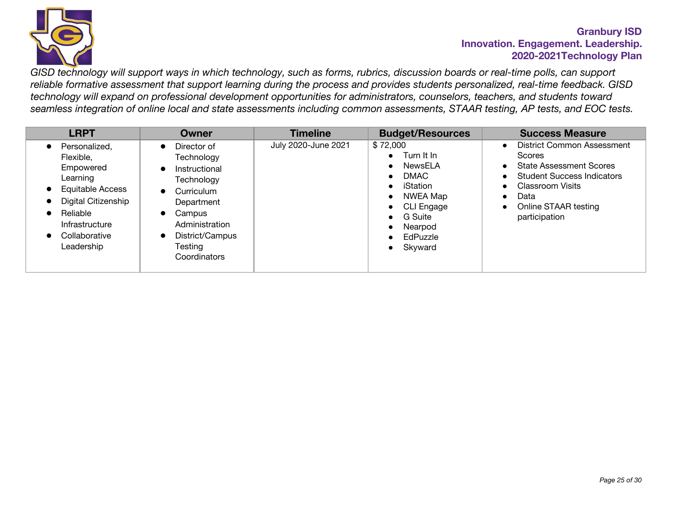

*GISD technology will support ways in which technology, such as forms, rubrics, discussion boards or real-time polls, can support reliable formative assessment that support learning during the process and provides students personalized, real-time feedback. GISD technology will expand on professional development opportunities for administrators, counselors, teachers, and students toward seamless integration of online local and state assessments including common assessments, STAAR testing, AP tests, and EOC tests.*

| <b>LRPT</b>                                                                                                                                                        | Owner                                                                                                                                                                                                 | <b>Timeline</b>     | <b>Budget/Resources</b>                                                                                                                                                           | <b>Success Measure</b>                                                                                                                                                                                                                                                |
|--------------------------------------------------------------------------------------------------------------------------------------------------------------------|-------------------------------------------------------------------------------------------------------------------------------------------------------------------------------------------------------|---------------------|-----------------------------------------------------------------------------------------------------------------------------------------------------------------------------------|-----------------------------------------------------------------------------------------------------------------------------------------------------------------------------------------------------------------------------------------------------------------------|
| Personalized.<br>Flexible.<br>Empowered<br>Learning<br><b>Equitable Access</b><br>Digital Citizenship<br>Reliable<br>Infrastructure<br>Collaborative<br>Leadership | Director of<br>Technology<br>Instructional<br>Technology<br>Curriculum<br>$\bullet$<br>Department<br>Campus<br>$\bullet$<br>Administration<br>District/Campus<br>$\bullet$<br>Testing<br>Coordinators | July 2020-June 2021 | \$72,000<br>Turn It In<br>NewsELA<br>DMAC.<br>$\bullet$<br>iStation<br>NWEA Map<br>$\bullet$<br>CLI Engage<br>$\bullet$<br>G Suite<br>Nearpod<br>EdPuzzle<br>Skyward<br>$\bullet$ | <b>District Common Assessment</b><br>$\bullet$<br>Scores<br><b>State Assessment Scores</b><br>$\bullet$<br><b>Student Success Indicators</b><br>$\bullet$<br>Classroom Visits<br>$\bullet$<br>Data<br>$\bullet$<br>Online STAAR testing<br>$\bullet$<br>participation |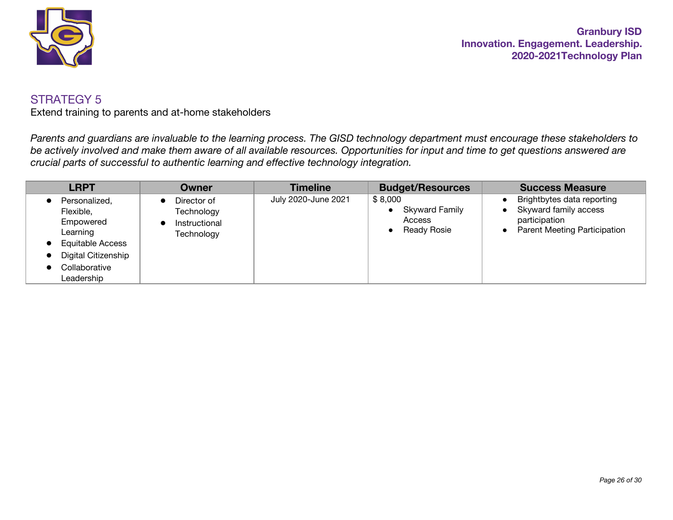

Extend training to parents and at-home stakeholders

*Parents and guardians are invaluable to the learning process. The GISD technology department must encourage these stakeholders to be actively involved and make them aware of all available resources. Opportunities for input and time to get questions answered are crucial parts of successful to authentic learning and effective technology integration.*

| <b>LRPT</b>                                                                                                                          | Owner                                                    | <b>Timeline</b>     | <b>Budget/Resources</b>                                          | <b>Success Measure</b>                                                                                      |
|--------------------------------------------------------------------------------------------------------------------------------------|----------------------------------------------------------|---------------------|------------------------------------------------------------------|-------------------------------------------------------------------------------------------------------------|
| Personalized.<br>Flexible,<br>Empowered<br>Learning<br><b>Equitable Access</b><br>Digital Citizenship<br>Collaborative<br>Leadership | Director of<br>Technology<br>Instructional<br>Technology | July 2020-June 2021 | \$8,000<br><b>Skyward Family</b><br>Access<br><b>Ready Rosie</b> | Brightbytes data reporting<br>Skyward family access<br>participation<br><b>Parent Meeting Participation</b> |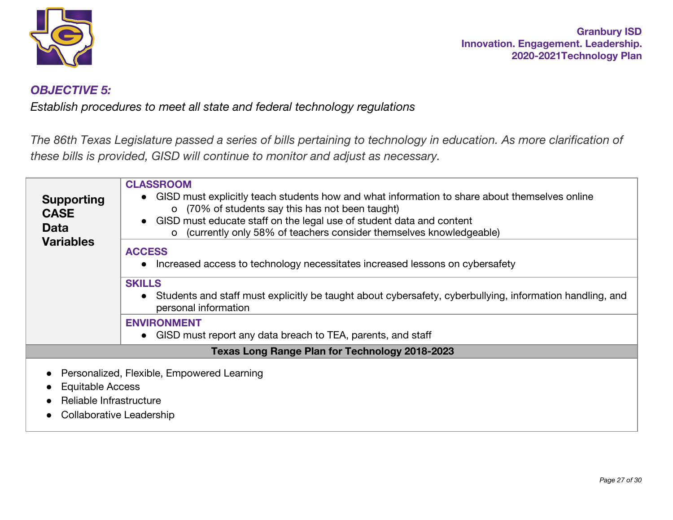

## *OBJECTIVE 5:*

*Establish procedures to meet all state and federal technology regulations*

The 86th Texas Legislature passed a series of bills pertaining to technology in education. As more clarification of *these bills is provided, GISD will continue to monitor and adjust as necessary.*

| <b>Supporting</b><br><b>CASE</b><br><b>Data</b><br><b>Variables</b>            | <b>CLASSROOM</b><br>• GISD must explicitly teach students how and what information to share about themselves online<br>o (70% of students say this has not been taught)<br>• GISD must educate staff on the legal use of student data and content<br>(currently only 58% of teachers consider themselves knowledgeable)<br>$\Omega$<br><b>ACCESS</b><br>Increased access to technology necessitates increased lessons on cybersafety<br><b>SKILLS</b><br>• Students and staff must explicitly be taught about cybersafety, cyberbullying, information handling, and<br>personal information |
|--------------------------------------------------------------------------------|---------------------------------------------------------------------------------------------------------------------------------------------------------------------------------------------------------------------------------------------------------------------------------------------------------------------------------------------------------------------------------------------------------------------------------------------------------------------------------------------------------------------------------------------------------------------------------------------|
|                                                                                | <b>ENVIRONMENT</b><br>• GISD must report any data breach to TEA, parents, and staff                                                                                                                                                                                                                                                                                                                                                                                                                                                                                                         |
|                                                                                | <b>Texas Long Range Plan for Technology 2018-2023</b>                                                                                                                                                                                                                                                                                                                                                                                                                                                                                                                                       |
| <b>Equitable Access</b><br>Reliable Infrastructure<br>Collaborative Leadership | Personalized, Flexible, Empowered Learning                                                                                                                                                                                                                                                                                                                                                                                                                                                                                                                                                  |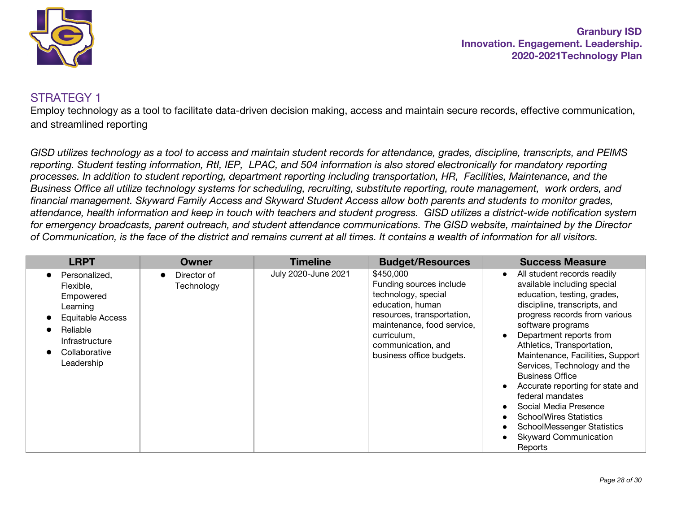

## STRATEGY 1

Employ technology as a tool to facilitate data-driven decision making, access and maintain secure records, effective communication, and streamlined reporting

*GISD utilizes technology as a tool to access and maintain student records for attendance, grades, discipline, transcripts, and PEIMS reporting. Student testing information, RtI, IEP, LPAC, and 504 information is also stored electronically for mandatory reporting processes. In addition to student reporting, department reporting including transportation, HR, Facilities, Maintenance, and the Business Office all utilize technology systems for scheduling, recruiting, substitute reporting, route management, work orders, and financial management. Skyward Family Access and Skyward Student Access allow both parents and students to monitor grades, attendance, health information and keep in touch with teachers and student progress. GISD utilizes a district-wide notification system for emergency broadcasts, parent outreach, and student attendance communications. The GISD website, maintained by the Director of Communication, is the face of the district and remains current at all times. It contains a wealth of information for all visitors.*

| <b>LRPT</b>                                                                                                                                 | <b>Owner</b>              | <b>Timeline</b>     | <b>Budget/Resources</b>                                                                                                                                                                                      | <b>Success Measure</b>                                                                                                                                                                                                                                                                                                                                                                                                                                                                                                                                                          |
|---------------------------------------------------------------------------------------------------------------------------------------------|---------------------------|---------------------|--------------------------------------------------------------------------------------------------------------------------------------------------------------------------------------------------------------|---------------------------------------------------------------------------------------------------------------------------------------------------------------------------------------------------------------------------------------------------------------------------------------------------------------------------------------------------------------------------------------------------------------------------------------------------------------------------------------------------------------------------------------------------------------------------------|
| Personalized,<br>Flexible,<br>Empowered<br>Learning<br><b>Equitable Access</b><br>Reliable<br>Infrastructure<br>Collaborative<br>Leadership | Director of<br>Technology | July 2020-June 2021 | \$450,000<br>Funding sources include<br>technology, special<br>education, human<br>resources, transportation,<br>maintenance, food service,<br>curriculum,<br>communication, and<br>business office budgets. | All student records readily<br>$\bullet$<br>available including special<br>education, testing, grades,<br>discipline, transcripts, and<br>progress records from various<br>software programs<br>Department reports from<br>$\bullet$<br>Athletics, Transportation,<br>Maintenance, Facilities, Support<br>Services, Technology and the<br><b>Business Office</b><br>Accurate reporting for state and<br>$\bullet$<br>federal mandates<br>Social Media Presence<br><b>SchoolWires Statistics</b><br><b>SchoolMessenger Statistics</b><br><b>Skyward Communication</b><br>Reports |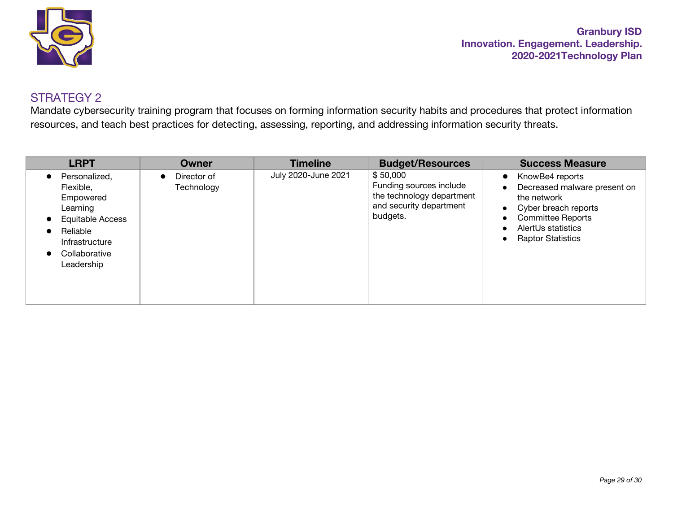

Mandate cybersecurity training program that focuses on forming information security habits and procedures that protect information resources, and teach best practices for detecting, assessing, reporting, and addressing information security threats.

| <b>LRPT</b>                                                                                                                          | Owner                                  | <b>Timeline</b>     | <b>Budget/Resources</b>                                                                                 | <b>Success Measure</b>                                                                                                                                                                                      |
|--------------------------------------------------------------------------------------------------------------------------------------|----------------------------------------|---------------------|---------------------------------------------------------------------------------------------------------|-------------------------------------------------------------------------------------------------------------------------------------------------------------------------------------------------------------|
| Personalized,<br>Flexible,<br>Empowered<br>Learning<br>Equitable Access<br>Reliable<br>Infrastructure<br>Collaborative<br>Leadership | Director of<br>$\bullet$<br>Technology | July 2020-June 2021 | \$50,000<br>Funding sources include<br>the technology department<br>and security department<br>budgets. | KnowBe4 reports<br>$\bullet$<br>Decreased malware present on<br>the network<br>Cyber breach reports<br>$\bullet$<br><b>Committee Reports</b><br>AlertUs statistics<br><b>Raptor Statistics</b><br>$\bullet$ |